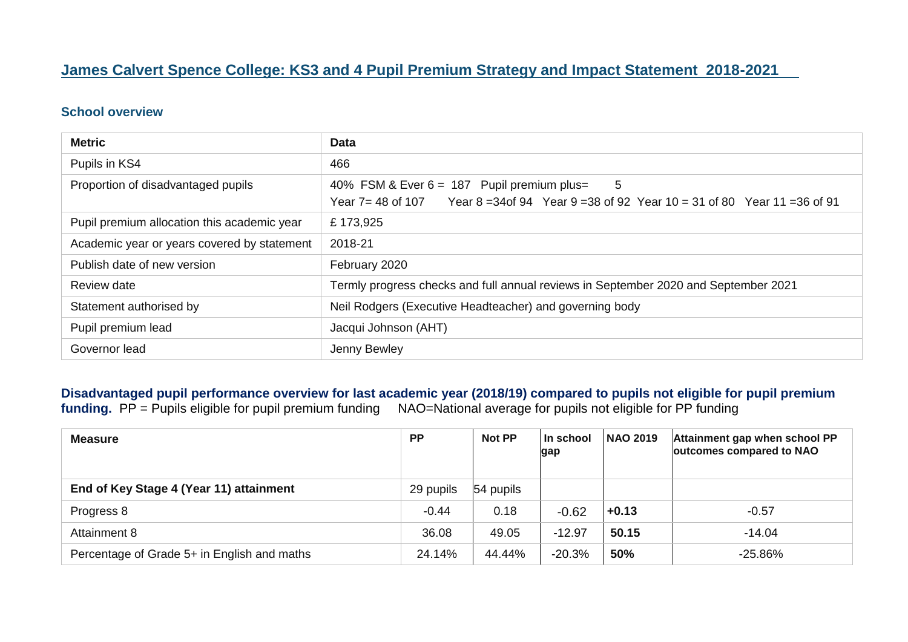#### **James Calvert Spence College: KS3 and 4 Pupil Premium Strategy and Impact Statement 2018-2021**

#### **School overview**

| <b>Metric</b>                               | <b>Data</b>                                                                                                                                          |  |
|---------------------------------------------|------------------------------------------------------------------------------------------------------------------------------------------------------|--|
| Pupils in KS4                               | 466                                                                                                                                                  |  |
| Proportion of disadvantaged pupils          | 5<br>40% FSM & Ever 6 = 187 Pupil premium plus=<br>Year 8 = 34 of 94 Year 9 = 38 of 92 Year 10 = 31 of 80 Year 11 = 36 of 91<br>Year $7 = 48$ of 107 |  |
| Pupil premium allocation this academic year | £173,925                                                                                                                                             |  |
| Academic year or years covered by statement | 2018-21                                                                                                                                              |  |
| Publish date of new version                 | February 2020                                                                                                                                        |  |
| Review date                                 | Termly progress checks and full annual reviews in September 2020 and September 2021                                                                  |  |
| Statement authorised by                     | Neil Rodgers (Executive Headteacher) and governing body                                                                                              |  |
| Pupil premium lead                          | Jacqui Johnson (AHT)                                                                                                                                 |  |
| Governor lead                               | Jenny Bewley                                                                                                                                         |  |

**Disadvantaged pupil performance overview for last academic year (2018/19) compared to pupils not eligible for pupil premium funding.** PP = Pupils eligible for pupil premium funding NAO=National average for pupils not eligible for PP funding

| <b>Measure</b>                              | <b>PP</b> | Not PP    | l In school<br>gap | <b>NAO 2019</b> | Attainment gap when school PP<br>outcomes compared to NAO |
|---------------------------------------------|-----------|-----------|--------------------|-----------------|-----------------------------------------------------------|
| End of Key Stage 4 (Year 11) attainment     | 29 pupils | 54 pupils |                    |                 |                                                           |
| Progress 8                                  | $-0.44$   | 0.18      | $-0.62$            | $+0.13$         | $-0.57$                                                   |
| Attainment 8                                | 36.08     | 49.05     | $-12.97$           | 50.15           | $-14.04$                                                  |
| Percentage of Grade 5+ in English and maths | 24.14%    | 44.44%    | $-20.3%$           | 50%             | $-25.86%$                                                 |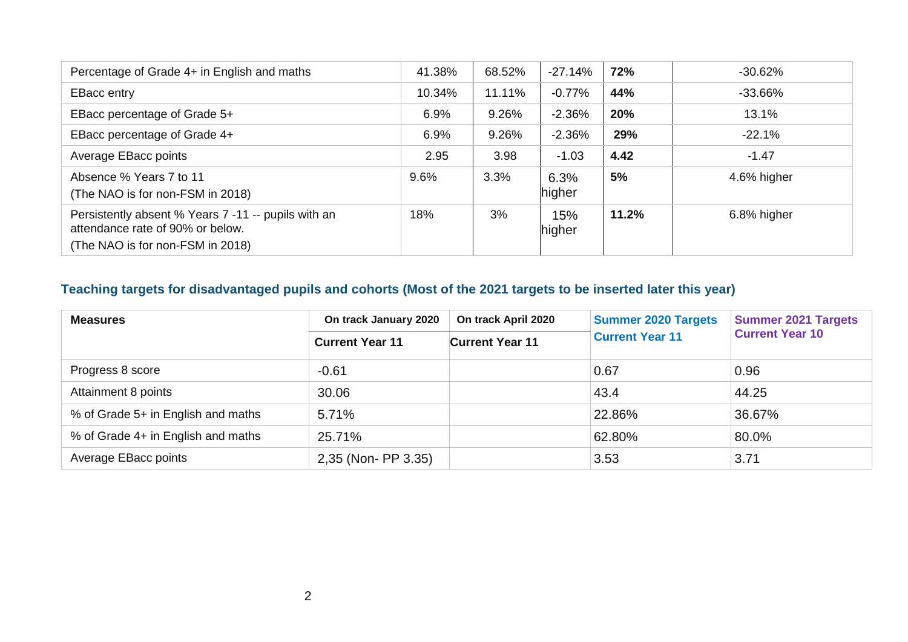| Percentage of Grade 4+ in English and maths                                                                                 | 41.38% | 68.52% | $-27.14%$      | 72%   | $-30.62%$   |
|-----------------------------------------------------------------------------------------------------------------------------|--------|--------|----------------|-------|-------------|
| <b>EBacc entry</b>                                                                                                          | 10.34% | 11.11% | $-0.77%$       | 44%   | $-33.66\%$  |
| EBacc percentage of Grade 5+                                                                                                | 6.9%   | 9.26%  | $-2.36%$       | 20%   | 13.1%       |
| EBacc percentage of Grade 4+                                                                                                | 6.9%   | 9.26%  | $-2.36%$       | 29%   | $-22.1%$    |
| Average EBacc points                                                                                                        | 2.95   | 3.98   | $-1.03$        | 4.42  | $-1.47$     |
| Absence % Years 7 to 11<br>(The NAO is for non-FSM in 2018)                                                                 | 9.6%   | 3.3%   | 6.3%<br>higher | 5%    | 4.6% higher |
| Persistently absent % Years 7 -11 -- pupils with an<br>attendance rate of 90% or below.<br>(The NAO is for non-FSM in 2018) | 18%    | 3%     | 15%<br>higher  | 11.2% | 6.8% higher |

# **Teaching targets for disadvantaged pupils and cohorts (Most of the 2021 targets to be inserted later this year)**

| <b>Measures</b>                    | On track January 2020  | On track April 2020    | <b>Summer 2020 Targets</b> | <b>Summer 2021 Targets</b> |
|------------------------------------|------------------------|------------------------|----------------------------|----------------------------|
|                                    | <b>Current Year 11</b> | <b>Current Year 11</b> | <b>Current Year 11</b>     | <b>Current Year 10</b>     |
| Progress 8 score                   | $-0.61$                |                        | 0.67                       | 0.96                       |
| Attainment 8 points                | 30.06                  |                        | 43.4                       | 44.25                      |
| % of Grade 5+ in English and maths | 5.71%                  |                        | 22.86%                     | 36.67%                     |
| % of Grade 4+ in English and maths | 25.71%                 |                        | 62.80%                     | 80.0%                      |
| Average EBacc points               | 2,35 (Non- PP 3.35)    |                        | 3.53                       | 3.71                       |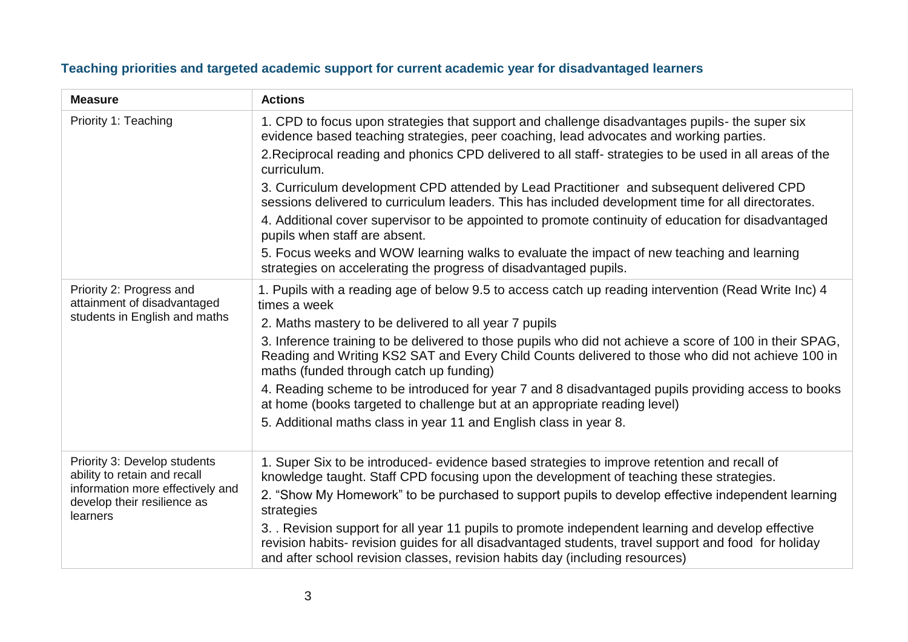| <b>Measure</b>                                                              | <b>Actions</b>                                                                                                                                                                                                                                                                           |
|-----------------------------------------------------------------------------|------------------------------------------------------------------------------------------------------------------------------------------------------------------------------------------------------------------------------------------------------------------------------------------|
| Priority 1: Teaching                                                        | 1. CPD to focus upon strategies that support and challenge disadvantages pupils- the super six<br>evidence based teaching strategies, peer coaching, lead advocates and working parties.                                                                                                 |
|                                                                             | 2. Reciprocal reading and phonics CPD delivered to all staff-strategies to be used in all areas of the<br>curriculum.                                                                                                                                                                    |
|                                                                             | 3. Curriculum development CPD attended by Lead Practitioner and subsequent delivered CPD<br>sessions delivered to curriculum leaders. This has included development time for all directorates.                                                                                           |
|                                                                             | 4. Additional cover supervisor to be appointed to promote continuity of education for disadvantaged<br>pupils when staff are absent.                                                                                                                                                     |
|                                                                             | 5. Focus weeks and WOW learning walks to evaluate the impact of new teaching and learning<br>strategies on accelerating the progress of disadvantaged pupils.                                                                                                                            |
| Priority 2: Progress and<br>attainment of disadvantaged                     | 1. Pupils with a reading age of below 9.5 to access catch up reading intervention (Read Write Inc) 4<br>times a week                                                                                                                                                                     |
| students in English and maths                                               | 2. Maths mastery to be delivered to all year 7 pupils                                                                                                                                                                                                                                    |
|                                                                             | 3. Inference training to be delivered to those pupils who did not achieve a score of 100 in their SPAG,<br>Reading and Writing KS2 SAT and Every Child Counts delivered to those who did not achieve 100 in<br>maths (funded through catch up funding)                                   |
|                                                                             | 4. Reading scheme to be introduced for year 7 and 8 disadvantaged pupils providing access to books<br>at home (books targeted to challenge but at an appropriate reading level)                                                                                                          |
|                                                                             | 5. Additional maths class in year 11 and English class in year 8.                                                                                                                                                                                                                        |
| Priority 3: Develop students<br>ability to retain and recall                | 1. Super Six to be introduced- evidence based strategies to improve retention and recall of<br>knowledge taught. Staff CPD focusing upon the development of teaching these strategies.                                                                                                   |
| information more effectively and<br>develop their resilience as<br>learners | 2. "Show My Homework" to be purchased to support pupils to develop effective independent learning<br>strategies                                                                                                                                                                          |
|                                                                             | 3. Revision support for all year 11 pupils to promote independent learning and develop effective<br>revision habits- revision guides for all disadvantaged students, travel support and food for holiday<br>and after school revision classes, revision habits day (including resources) |

## **Teaching priorities and targeted academic support for current academic year for disadvantaged learners**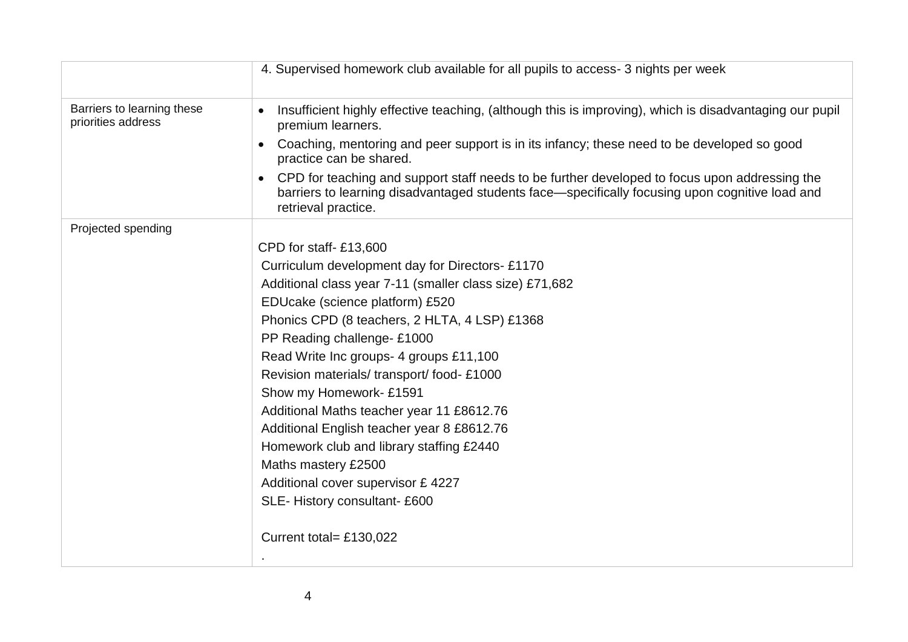|                                                  | 4. Supervised homework club available for all pupils to access- 3 nights per week                                                                                                                                                   |
|--------------------------------------------------|-------------------------------------------------------------------------------------------------------------------------------------------------------------------------------------------------------------------------------------|
| Barriers to learning these<br>priorities address | Insufficient highly effective teaching, (although this is improving), which is disadvantaging our pupil<br>premium learners.                                                                                                        |
|                                                  | Coaching, mentoring and peer support is in its infancy; these need to be developed so good<br>$\bullet$<br>practice can be shared.                                                                                                  |
|                                                  | CPD for teaching and support staff needs to be further developed to focus upon addressing the<br>$\bullet$<br>barriers to learning disadvantaged students face—specifically focusing upon cognitive load and<br>retrieval practice. |
| Projected spending                               |                                                                                                                                                                                                                                     |
|                                                  | CPD for staff-£13,600                                                                                                                                                                                                               |
|                                                  | Curriculum development day for Directors-£1170                                                                                                                                                                                      |
|                                                  | Additional class year 7-11 (smaller class size) £71,682                                                                                                                                                                             |
|                                                  | EDUcake (science platform) £520                                                                                                                                                                                                     |
|                                                  | Phonics CPD (8 teachers, 2 HLTA, 4 LSP) £1368                                                                                                                                                                                       |
|                                                  | PP Reading challenge-£1000                                                                                                                                                                                                          |
|                                                  | Read Write Inc groups- 4 groups £11,100                                                                                                                                                                                             |
|                                                  | Revision materials/transport/food-£1000                                                                                                                                                                                             |
|                                                  | Show my Homework- £1591                                                                                                                                                                                                             |
|                                                  | Additional Maths teacher year 11 £8612.76                                                                                                                                                                                           |
|                                                  | Additional English teacher year 8 £8612.76                                                                                                                                                                                          |
|                                                  | Homework club and library staffing £2440                                                                                                                                                                                            |
|                                                  | Maths mastery £2500                                                                                                                                                                                                                 |
|                                                  | Additional cover supervisor £ 4227                                                                                                                                                                                                  |
|                                                  | SLE-History consultant-£600                                                                                                                                                                                                         |
|                                                  | Current total= £130,022                                                                                                                                                                                                             |
|                                                  |                                                                                                                                                                                                                                     |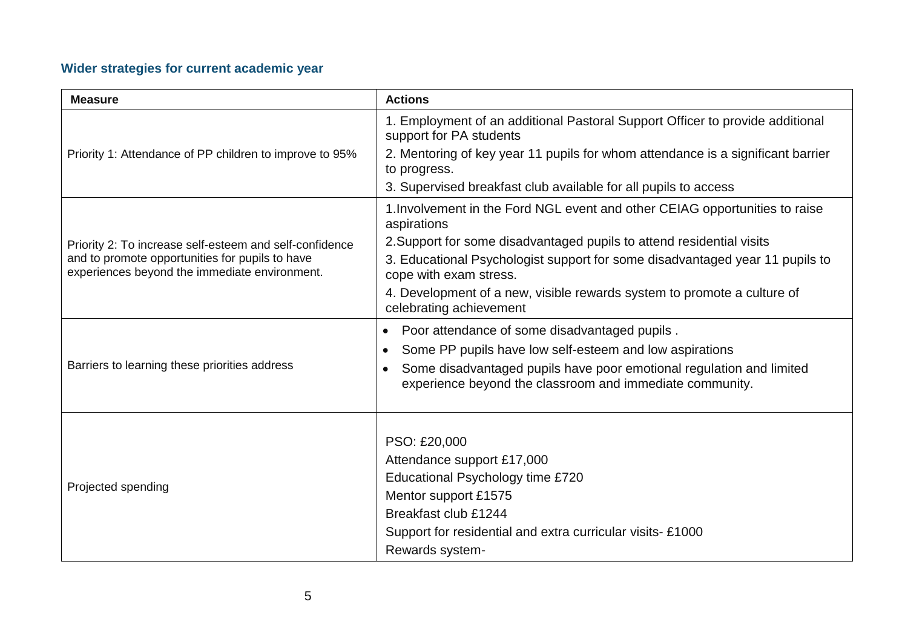## **Wider strategies for current academic year**

| <b>Measure</b>                                                                                   | <b>Actions</b>                                                                                                                   |
|--------------------------------------------------------------------------------------------------|----------------------------------------------------------------------------------------------------------------------------------|
|                                                                                                  | 1. Employment of an additional Pastoral Support Officer to provide additional<br>support for PA students                         |
| Priority 1: Attendance of PP children to improve to 95%                                          | 2. Mentoring of key year 11 pupils for whom attendance is a significant barrier<br>to progress.                                  |
|                                                                                                  | 3. Supervised breakfast club available for all pupils to access                                                                  |
|                                                                                                  | 1. Involvement in the Ford NGL event and other CEIAG opportunities to raise<br>aspirations                                       |
| Priority 2: To increase self-esteem and self-confidence                                          | 2. Support for some disadvantaged pupils to attend residential visits                                                            |
| and to promote opportunities for pupils to have<br>experiences beyond the immediate environment. | 3. Educational Psychologist support for some disadvantaged year 11 pupils to<br>cope with exam stress.                           |
|                                                                                                  | 4. Development of a new, visible rewards system to promote a culture of<br>celebrating achievement                               |
|                                                                                                  | Poor attendance of some disadvantaged pupils.<br>$\bullet$                                                                       |
|                                                                                                  | Some PP pupils have low self-esteem and low aspirations<br>$\bullet$                                                             |
| Barriers to learning these priorities address                                                    | Some disadvantaged pupils have poor emotional regulation and limited<br>experience beyond the classroom and immediate community. |
|                                                                                                  |                                                                                                                                  |
|                                                                                                  | PSO: £20,000                                                                                                                     |
|                                                                                                  | Attendance support £17,000                                                                                                       |
| Projected spending                                                                               | Educational Psychology time £720                                                                                                 |
|                                                                                                  | Mentor support £1575                                                                                                             |
|                                                                                                  | Breakfast club £1244                                                                                                             |
|                                                                                                  | Support for residential and extra curricular visits-£1000                                                                        |
|                                                                                                  | Rewards system-                                                                                                                  |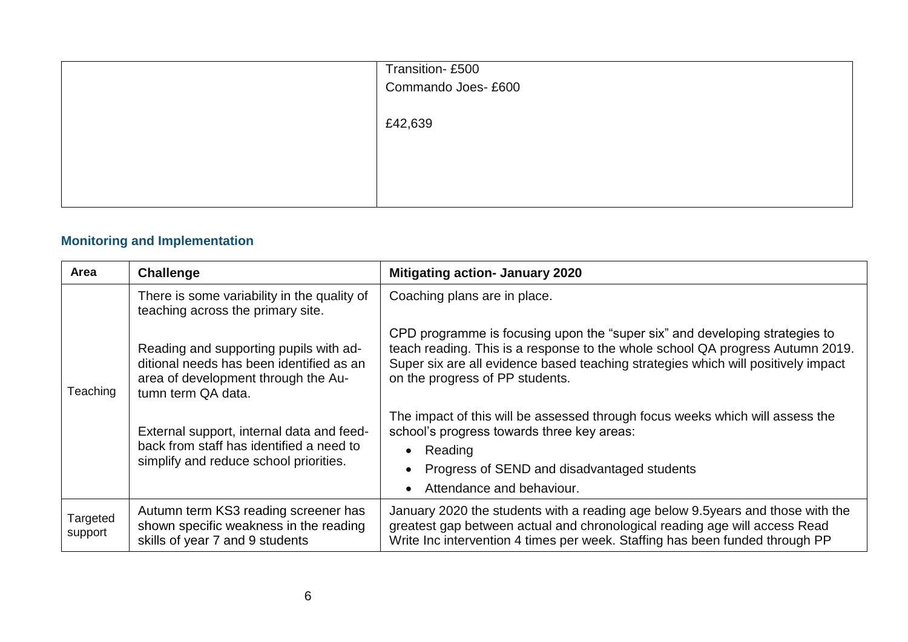| Transition-£500<br>Commando Joes- £600 |
|----------------------------------------|
| £42,639                                |
|                                        |
|                                        |

## **Monitoring and Implementation**

| Area                | Challenge                                                                                                                                       | <b>Mitigating action- January 2020</b>                                                                                                                                                                                                                                                |
|---------------------|-------------------------------------------------------------------------------------------------------------------------------------------------|---------------------------------------------------------------------------------------------------------------------------------------------------------------------------------------------------------------------------------------------------------------------------------------|
|                     | There is some variability in the quality of<br>teaching across the primary site.                                                                | Coaching plans are in place.                                                                                                                                                                                                                                                          |
| Teaching            | Reading and supporting pupils with ad-<br>ditional needs has been identified as an<br>area of development through the Au-<br>tumn term QA data. | CPD programme is focusing upon the "super six" and developing strategies to<br>teach reading. This is a response to the whole school QA progress Autumn 2019.<br>Super six are all evidence based teaching strategies which will positively impact<br>on the progress of PP students. |
|                     | External support, internal data and feed-<br>back from staff has identified a need to<br>simplify and reduce school priorities.                 | The impact of this will be assessed through focus weeks which will assess the<br>school's progress towards three key areas:<br>• Reading<br>Progress of SEND and disadvantaged students<br>Attendance and behaviour.                                                                  |
| Targeted<br>support | Autumn term KS3 reading screener has<br>shown specific weakness in the reading<br>skills of year 7 and 9 students                               | January 2020 the students with a reading age below 9.5 years and those with the<br>greatest gap between actual and chronological reading age will access Read<br>Write Inc intervention 4 times per week. Staffing has been funded through PP                                         |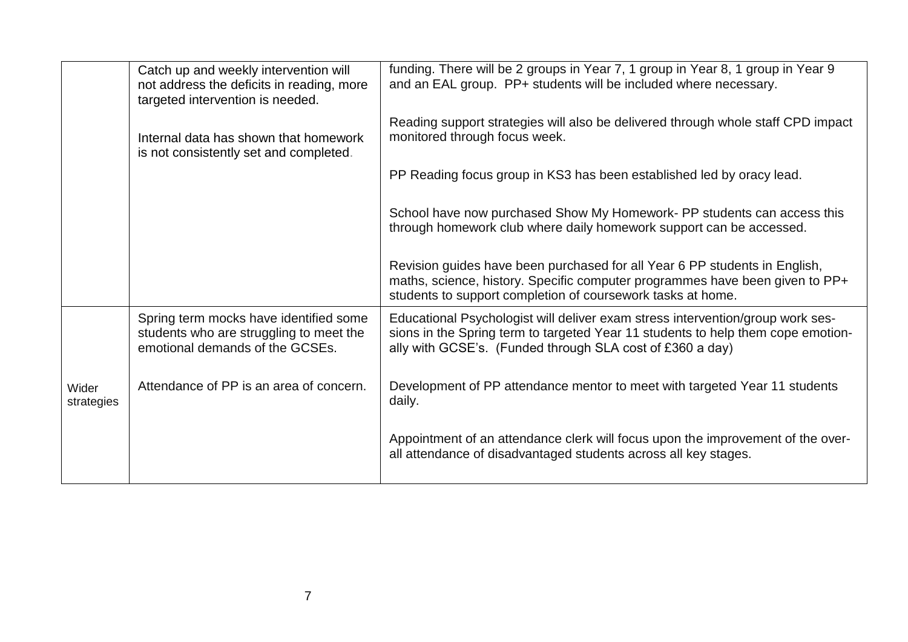|                     | Catch up and weekly intervention will<br>not address the deficits in reading, more<br>targeted intervention is needed. | funding. There will be 2 groups in Year 7, 1 group in Year 8, 1 group in Year 9<br>and an EAL group. PP+ students will be included where necessary.                                                                             |
|---------------------|------------------------------------------------------------------------------------------------------------------------|---------------------------------------------------------------------------------------------------------------------------------------------------------------------------------------------------------------------------------|
|                     | Internal data has shown that homework<br>is not consistently set and completed.                                        | Reading support strategies will also be delivered through whole staff CPD impact<br>monitored through focus week.                                                                                                               |
|                     |                                                                                                                        | PP Reading focus group in KS3 has been established led by oracy lead.                                                                                                                                                           |
|                     |                                                                                                                        | School have now purchased Show My Homework- PP students can access this<br>through homework club where daily homework support can be accessed.                                                                                  |
|                     |                                                                                                                        | Revision guides have been purchased for all Year 6 PP students in English,<br>maths, science, history. Specific computer programmes have been given to PP+<br>students to support completion of coursework tasks at home.       |
|                     | Spring term mocks have identified some<br>students who are struggling to meet the<br>emotional demands of the GCSEs.   | Educational Psychologist will deliver exam stress intervention/group work ses-<br>sions in the Spring term to targeted Year 11 students to help them cope emotion-<br>ally with GCSE's. (Funded through SLA cost of £360 a day) |
| Wider<br>strategies | Attendance of PP is an area of concern.                                                                                | Development of PP attendance mentor to meet with targeted Year 11 students<br>daily.                                                                                                                                            |
|                     |                                                                                                                        | Appointment of an attendance clerk will focus upon the improvement of the over-<br>all attendance of disadvantaged students across all key stages.                                                                              |